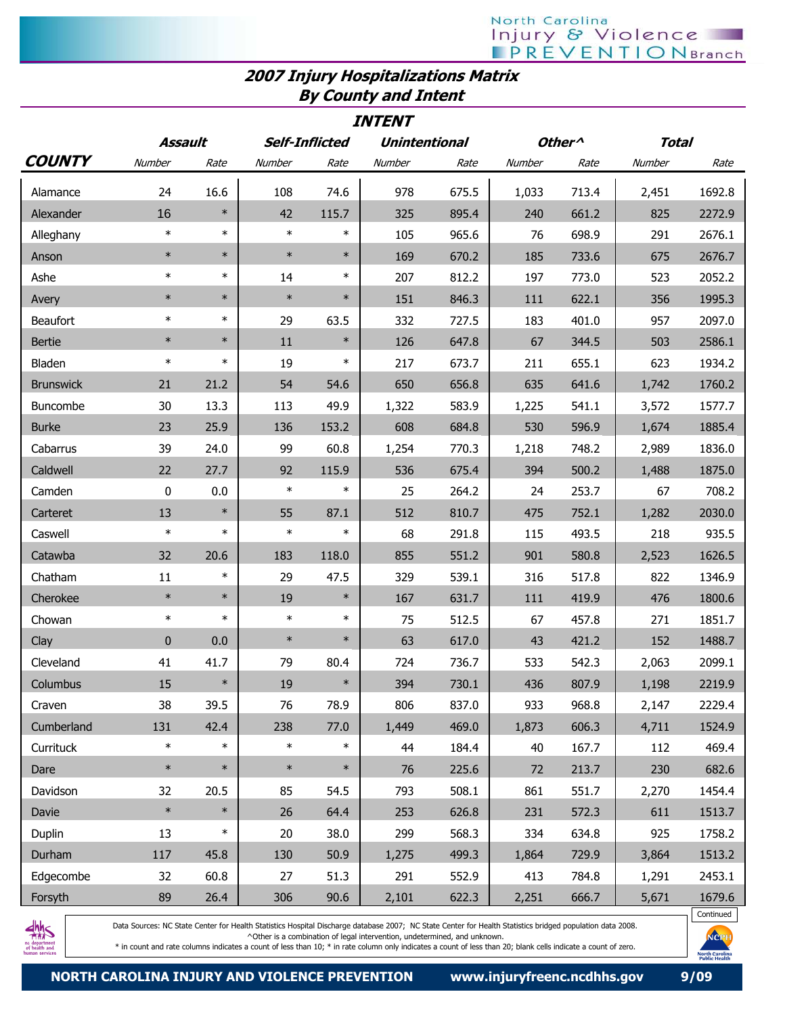## North Carolina<br>| njury & Violence<br>| PREVENTIONBranch

## 2007 Injury Hospitalizations Matrix By County and Intent

| <i><b>INTENT</b></i> |              |                                                          |        |        |        |       |                                    |       |        |        |
|----------------------|--------------|----------------------------------------------------------|--------|--------|--------|-------|------------------------------------|-------|--------|--------|
|                      |              | <b>Unintentional</b><br>Assault<br><b>Self-Inflicted</b> |        |        |        |       | Other <sup>^</sup><br><b>Total</b> |       |        |        |
| <b>COUNTY</b>        | Number       | Rate                                                     | Number | Rate   | Number | Rate  | Number                             | Rate  | Number | Rate   |
| Alamance             | 24           | 16.6                                                     | 108    | 74.6   | 978    | 675.5 | 1,033                              | 713.4 | 2,451  | 1692.8 |
| Alexander            | 16           | $\ast$                                                   | 42     | 115.7  | 325    | 895.4 | 240                                | 661.2 | 825    | 2272.9 |
| Alleghany            | $\ast$       | $\ast$                                                   | $\ast$ | $\ast$ | 105    | 965.6 | 76                                 | 698.9 | 291    | 2676.1 |
| Anson                | $\ast$       | $\ast$                                                   | $\ast$ | $\ast$ | 169    | 670.2 | 185                                | 733.6 | 675    | 2676.7 |
| Ashe                 | $\ast$       | $\ast$                                                   | 14     | $\ast$ | 207    | 812.2 | 197                                | 773.0 | 523    | 2052.2 |
| Avery                | $\ast$       | $\ast$                                                   | $\ast$ | $\ast$ | 151    | 846.3 | 111                                | 622.1 | 356    | 1995.3 |
| <b>Beaufort</b>      | $\ast$       | $\ast$                                                   | 29     | 63.5   | 332    | 727.5 | 183                                | 401.0 | 957    | 2097.0 |
| <b>Bertie</b>        | $\ast$       | $\ast$                                                   | 11     | $\ast$ | 126    | 647.8 | 67                                 | 344.5 | 503    | 2586.1 |
| Bladen               | $\ast$       | $\ast$                                                   | 19     | $\ast$ | 217    | 673.7 | 211                                | 655.1 | 623    | 1934.2 |
| <b>Brunswick</b>     | 21           | 21.2                                                     | 54     | 54.6   | 650    | 656.8 | 635                                | 641.6 | 1,742  | 1760.2 |
| Buncombe             | 30           | 13.3                                                     | 113    | 49.9   | 1,322  | 583.9 | 1,225                              | 541.1 | 3,572  | 1577.7 |
| <b>Burke</b>         | 23           | 25.9                                                     | 136    | 153.2  | 608    | 684.8 | 530                                | 596.9 | 1,674  | 1885.4 |
| Cabarrus             | 39           | 24.0                                                     | 99     | 60.8   | 1,254  | 770.3 | 1,218                              | 748.2 | 2,989  | 1836.0 |
| Caldwell             | 22           | 27.7                                                     | 92     | 115.9  | 536    | 675.4 | 394                                | 500.2 | 1,488  | 1875.0 |
| Camden               | 0            | 0.0                                                      | $\ast$ | $\ast$ | 25     | 264.2 | 24                                 | 253.7 | 67     | 708.2  |
| Carteret             | 13           | $\ast$                                                   | 55     | 87.1   | 512    | 810.7 | 475                                | 752.1 | 1,282  | 2030.0 |
| Caswell              | $\ast$       | $\ast$                                                   | $\ast$ | $\ast$ | 68     | 291.8 | 115                                | 493.5 | 218    | 935.5  |
| Catawba              | 32           | 20.6                                                     | 183    | 118.0  | 855    | 551.2 | 901                                | 580.8 | 2,523  | 1626.5 |
| Chatham              | 11           | $\ast$                                                   | 29     | 47.5   | 329    | 539.1 | 316                                | 517.8 | 822    | 1346.9 |
| Cherokee             | $\ast$       | $\ast$                                                   | 19     | $\ast$ | 167    | 631.7 | 111                                | 419.9 | 476    | 1800.6 |
| Chowan               | $\ast$       | $\ast$                                                   | $\ast$ | $\ast$ | 75     | 512.5 | 67                                 | 457.8 | 271    | 1851.7 |
| Clay                 | $\mathbf{0}$ | 0.0                                                      | $\ast$ | $\ast$ | 63     | 617.0 | 43                                 | 421.2 | 152    | 1488.7 |
| Cleveland            | 41           | 41.7                                                     | 79     | 80.4   | 724    | 736.7 | 533                                | 542.3 | 2,063  | 2099.1 |
| Columbus             | 15           | $\ast$                                                   | 19     | $\ast$ | 394    | 730.1 | 436                                | 807.9 | 1,198  | 2219.9 |
| Craven               | 38           | 39.5                                                     | 76     | 78.9   | 806    | 837.0 | 933                                | 968.8 | 2,147  | 2229.4 |
| Cumberland           | 131          | 42.4                                                     | 238    | 77.0   | 1,449  | 469.0 | 1,873                              | 606.3 | 4,711  | 1524.9 |
| Currituck            | $\ast$       | $\ast$                                                   | $\ast$ | $\ast$ | 44     | 184.4 | 40                                 | 167.7 | 112    | 469.4  |
| Dare                 | $\ast$       | $\ast$                                                   | $\ast$ | $\ast$ | 76     | 225.6 | 72                                 | 213.7 | 230    | 682.6  |
| Davidson             | 32           | 20.5                                                     | 85     | 54.5   | 793    | 508.1 | 861                                | 551.7 | 2,270  | 1454.4 |
| Davie                | $\ast$       | $\ast$                                                   | 26     | 64.4   | 253    | 626.8 | 231                                | 572.3 | 611    | 1513.7 |
| Duplin               | 13           | $\ast$                                                   | 20     | 38.0   | 299    | 568.3 | 334                                | 634.8 | 925    | 1758.2 |
| Durham               | 117          | 45.8                                                     | 130    | 50.9   | 1,275  | 499.3 | 1,864                              | 729.9 | 3,864  | 1513.2 |
| Edgecombe            | 32           | 60.8                                                     | 27     | 51.3   | 291    | 552.9 | 413                                | 784.8 | 1,291  | 2453.1 |
| Forsyth              | 89           | 26.4                                                     | 306    | 90.6   | 2,101  | 622.3 | 2,251                              | 666.7 | 5,671  | 1679.6 |



Data Sources: NC State Center for Health Statistics Hospital Discharge database 2007; NC State Center for Health Statistics bridged population data 2008. ^Other is a combination of legal intervention, undetermined, and unknown.

\* in count and rate columns indicates a count of less than 10; \* in rate column only indicates a count of less than 20; blank cells indicate a count of zero.

**North Caroli**<br>Public Heab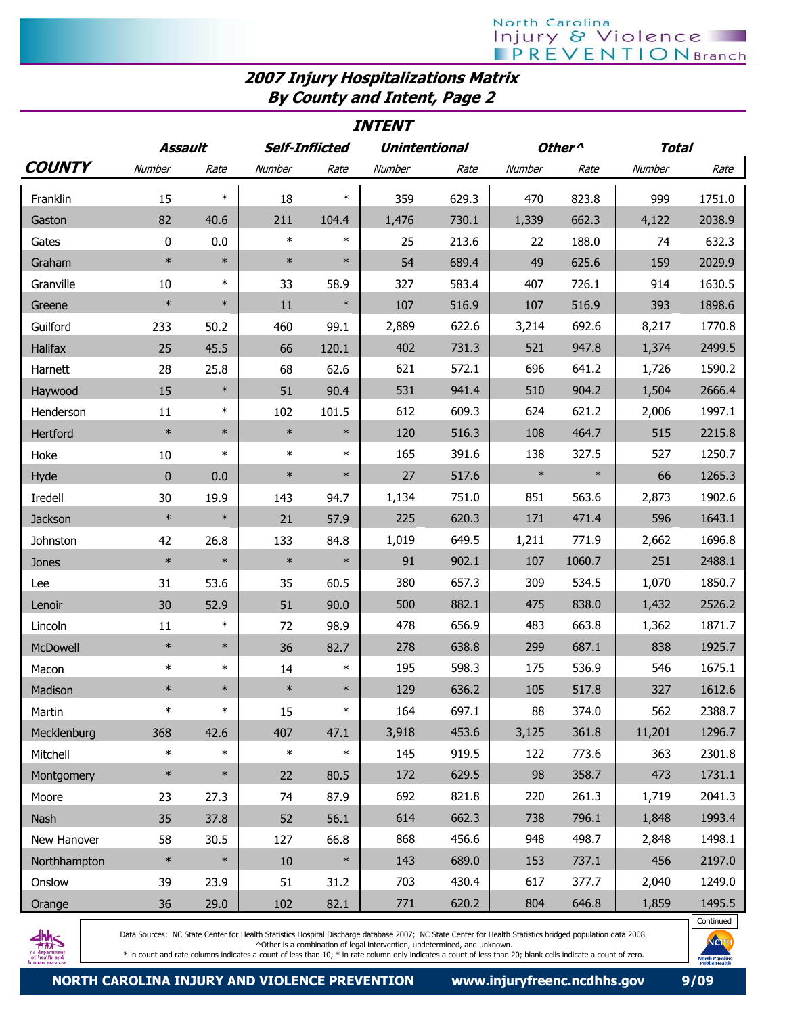## 2007 Injury Hospitalizations Matrix By County and Intent, Page 2

| <b>INTENT</b> |             |        |        |                       |                      |       |        |                    |              |        |
|---------------|-------------|--------|--------|-----------------------|----------------------|-------|--------|--------------------|--------------|--------|
|               | Assault     |        |        | <b>Self-Inflicted</b> | <b>Unintentional</b> |       |        | Other <sup>^</sup> | <b>Total</b> |        |
| <b>COUNTY</b> | Number      | Rate   | Number | Rate                  | Number               | Rate  | Number | Rate               | Number       | Rate   |
| Franklin      | 15          | $\ast$ | 18     | $\ast$                | 359                  | 629.3 | 470    | 823.8              | 999          | 1751.0 |
| Gaston        | 82          | 40.6   | 211    | 104.4                 | 1,476                | 730.1 | 1,339  | 662.3              | 4,122        | 2038.9 |
| Gates         | 0           | 0.0    | $\ast$ | $\ast$                | 25                   | 213.6 | 22     | 188.0              | 74           | 632.3  |
| Graham        | $\ast$      | $\ast$ | $\ast$ | $\ast$                | 54                   | 689.4 | 49     | 625.6              | 159          | 2029.9 |
| Granville     | 10          | $\ast$ | 33     | 58.9                  | 327                  | 583.4 | 407    | 726.1              | 914          | 1630.5 |
| Greene        | $\ast$      | $\ast$ | 11     | $\ast$                | 107                  | 516.9 | 107    | 516.9              | 393          | 1898.6 |
| Guilford      | 233         | 50.2   | 460    | 99.1                  | 2,889                | 622.6 | 3,214  | 692.6              | 8,217        | 1770.8 |
| Halifax       | 25          | 45.5   | 66     | 120.1                 | 402                  | 731.3 | 521    | 947.8              | 1,374        | 2499.5 |
| Harnett       | 28          | 25.8   | 68     | 62.6                  | 621                  | 572.1 | 696    | 641.2              | 1,726        | 1590.2 |
| Haywood       | 15          | $\ast$ | 51     | 90.4                  | 531                  | 941.4 | 510    | 904.2              | 1,504        | 2666.4 |
| Henderson     | 11          | $\ast$ | 102    | 101.5                 | 612                  | 609.3 | 624    | 621.2              | 2,006        | 1997.1 |
| Hertford      | $\ast$      | $\ast$ | $\ast$ | $\ast$                | 120                  | 516.3 | 108    | 464.7              | 515          | 2215.8 |
| Hoke          | 10          | $\ast$ | $\ast$ | $\ast$                | 165                  | 391.6 | 138    | 327.5              | 527          | 1250.7 |
| Hyde          | $\mathbf 0$ | 0.0    | $\ast$ | $\ast$                | 27                   | 517.6 | $\ast$ | $\ast$             | 66           | 1265.3 |
| Iredell       | 30          | 19.9   | 143    | 94.7                  | 1,134                | 751.0 | 851    | 563.6              | 2,873        | 1902.6 |
| Jackson       | $\ast$      | $\ast$ | 21     | 57.9                  | 225                  | 620.3 | 171    | 471.4              | 596          | 1643.1 |
| Johnston      | 42          | 26.8   | 133    | 84.8                  | 1,019                | 649.5 | 1,211  | 771.9              | 2,662        | 1696.8 |
| Jones         | $\ast$      | $\ast$ | $\ast$ | $\ast$                | 91                   | 902.1 | 107    | 1060.7             | 251          | 2488.1 |
| Lee           | 31          | 53.6   | 35     | 60.5                  | 380                  | 657.3 | 309    | 534.5              | 1,070        | 1850.7 |
| Lenoir        | 30          | 52.9   | 51     | 90.0                  | 500                  | 882.1 | 475    | 838.0              | 1,432        | 2526.2 |
| Lincoln       | 11          | $\ast$ | 72     | 98.9                  | 478                  | 656.9 | 483    | 663.8              | 1,362        | 1871.7 |
| McDowell      | $\ast$      | $\ast$ | 36     | 82.7                  | 278                  | 638.8 | 299    | 687.1              | 838          | 1925.7 |
| Macon         | $\ast$      | $\ast$ | 14     | $\ast$                | 195                  | 598.3 | 175    | 536.9              | 546          | 1675.1 |
| Madison       | $\ast$      | $\ast$ | $\ast$ | $\ast$                | 129                  | 636.2 | 105    | 517.8              | 327          | 1612.6 |
| Martin        | $\ast$      | $\ast$ | 15     | $\ast$                | 164                  | 697.1 | 88     | 374.0              | 562          | 2388.7 |
| Mecklenburg   | 368         | 42.6   | 407    | 47.1                  | 3,918                | 453.6 | 3,125  | 361.8              | 11,201       | 1296.7 |
| Mitchell      | $\ast$      | $\ast$ | $\ast$ | $\ast$                | 145                  | 919.5 | 122    | 773.6              | 363          | 2301.8 |
| Montgomery    | $\ast$      | $\ast$ | 22     | 80.5                  | 172                  | 629.5 | 98     | 358.7              | 473          | 1731.1 |
| Moore         | 23          | 27.3   | 74     | 87.9                  | 692                  | 821.8 | 220    | 261.3              | 1,719        | 2041.3 |
| Nash          | 35          | 37.8   | 52     | 56.1                  | 614                  | 662.3 | 738    | 796.1              | 1,848        | 1993.4 |
| New Hanover   | 58          | 30.5   | 127    | 66.8                  | 868                  | 456.6 | 948    | 498.7              | 2,848        | 1498.1 |
| Northhampton  | $\ast$      | $\ast$ | $10\,$ | $\ast$                | 143                  | 689.0 | 153    | 737.1              | 456          | 2197.0 |
| Onslow        | 39          | 23.9   | 51     | 31.2                  | 703                  | 430.4 | 617    | 377.7              | 2,040        | 1249.0 |
| Orange        | 36          | 29.0   | 102    | 82.1                  | 771                  | 620.2 | 804    | 646.8              | 1,859        | 1495.5 |



Data Sources: NC State Center for Health Statistics Hospital Discharge database 2007; NC State Center for Health Statistics bridged population data 2008. ^Other is a combination of legal intervention, undetermined, and unknown.

\* in count and rate columns indicates a count of less than 10; \* in rate column only indicates a count of less than 20; blank cells indicate a count of zero.

Continued

**fe**